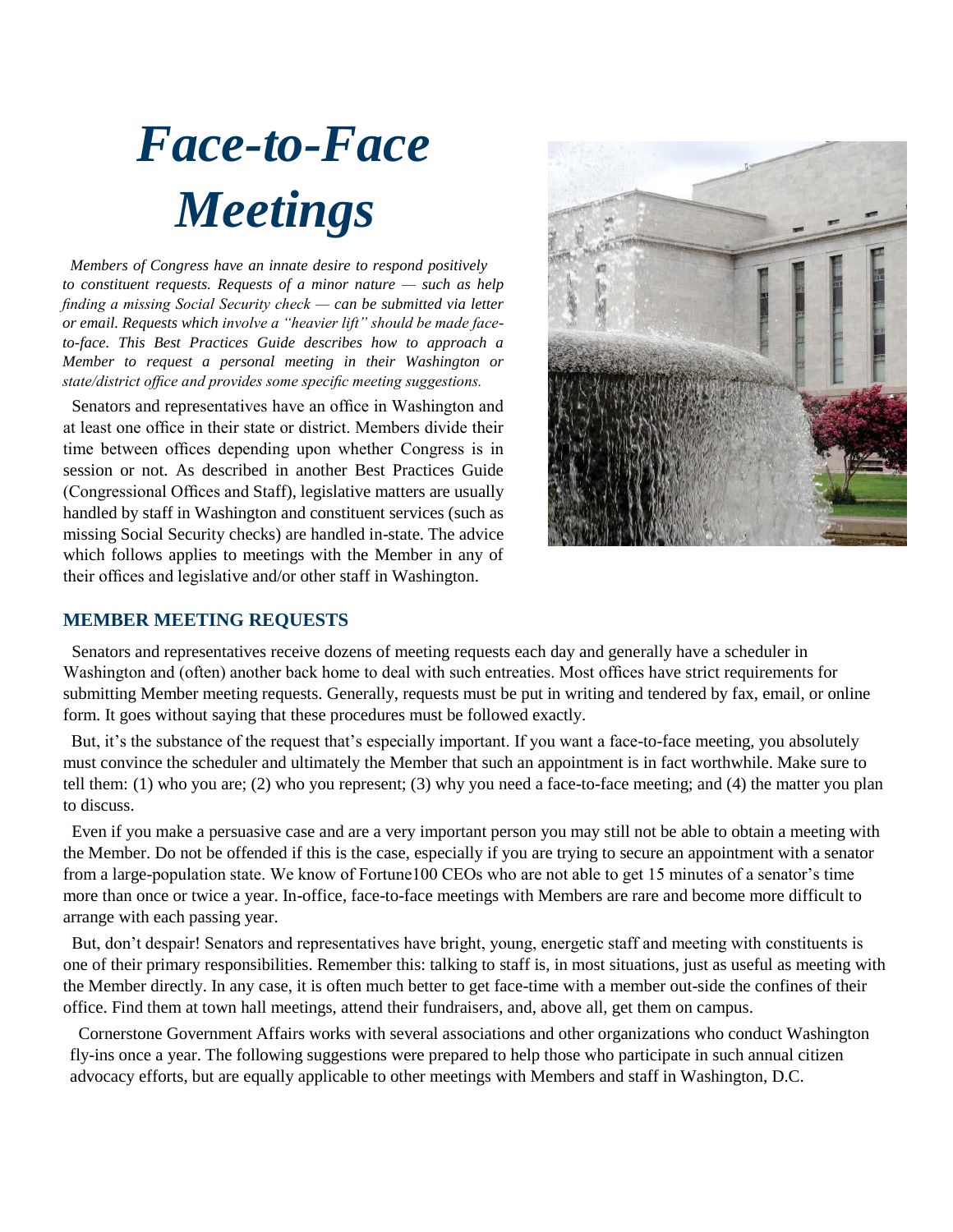## *Face-to-Face Meetings*

 *Members of Congress have an innate desire to respond positively to constituent requests. Requests of a minor nature — such as help finding a missing Social Security check — can be submitted via letter or email. Requests which involve a "heavier lift" should be made faceto-face. This Best Practices Guide describes how to approach a Member to request a personal meeting in their Washington or state/district office and provides some specific meeting suggestions.*

 Senators and representatives have an office in Washington and at least one office in their state or district. Members divide their time between offices depending upon whether Congress is in session or not. As described in another Best Practices Guide (Congressional Offices and Staff), legislative matters are usually handled by staff in Washington and constituent services (such as missing Social Security checks) are handled in-state. The advice which follows applies to meetings with the Member in any of their offices and legislative and/or other staff in Washington.



## **MEMBER MEETING REQUESTS**

 Senators and representatives receive dozens of meeting requests each day and generally have a scheduler in Washington and (often) another back home to deal with such entreaties. Most offices have strict requirements for submitting Member meeting requests. Generally, requests must be put in writing and tendered by fax, email, or online form. It goes without saying that these procedures must be followed exactly.

 But, it's the substance of the request that's especially important. If you want a face-to-face meeting, you absolutely must convince the scheduler and ultimately the Member that such an appointment is in fact worthwhile. Make sure to tell them: (1) who you are; (2) who you represent; (3) why you need a face-to-face meeting; and (4) the matter you plan to discuss.

 Even if you make a persuasive case and are a very important person you may still not be able to obtain a meeting with the Member. Do not be offended if this is the case, especially if you are trying to secure an appointment with a senator from a large-population state. We know of Fortune100 CEOs who are not able to get 15 minutes of a senator's time more than once or twice a year. In-office, face-to-face meetings with Members are rare and become more difficult to arrange with each passing year.

 But, don't despair! Senators and representatives have bright, young, energetic staff and meeting with constituents is one of their primary responsibilities. Remember this: talking to staff is, in most situations, just as useful as meeting with the Member directly. In any case, it is often much better to get face-time with a member out-side the confines of their office. Find them at town hall meetings, attend their fundraisers, and, above all, get them on campus.

 Cornerstone Government Affairs works with several associations and other organizations who conduct Washington fly-ins once a year. The following suggestions were prepared to help those who participate in such annual citizen advocacy efforts, but are equally applicable to other meetings with Members and staff in Washington, D.C.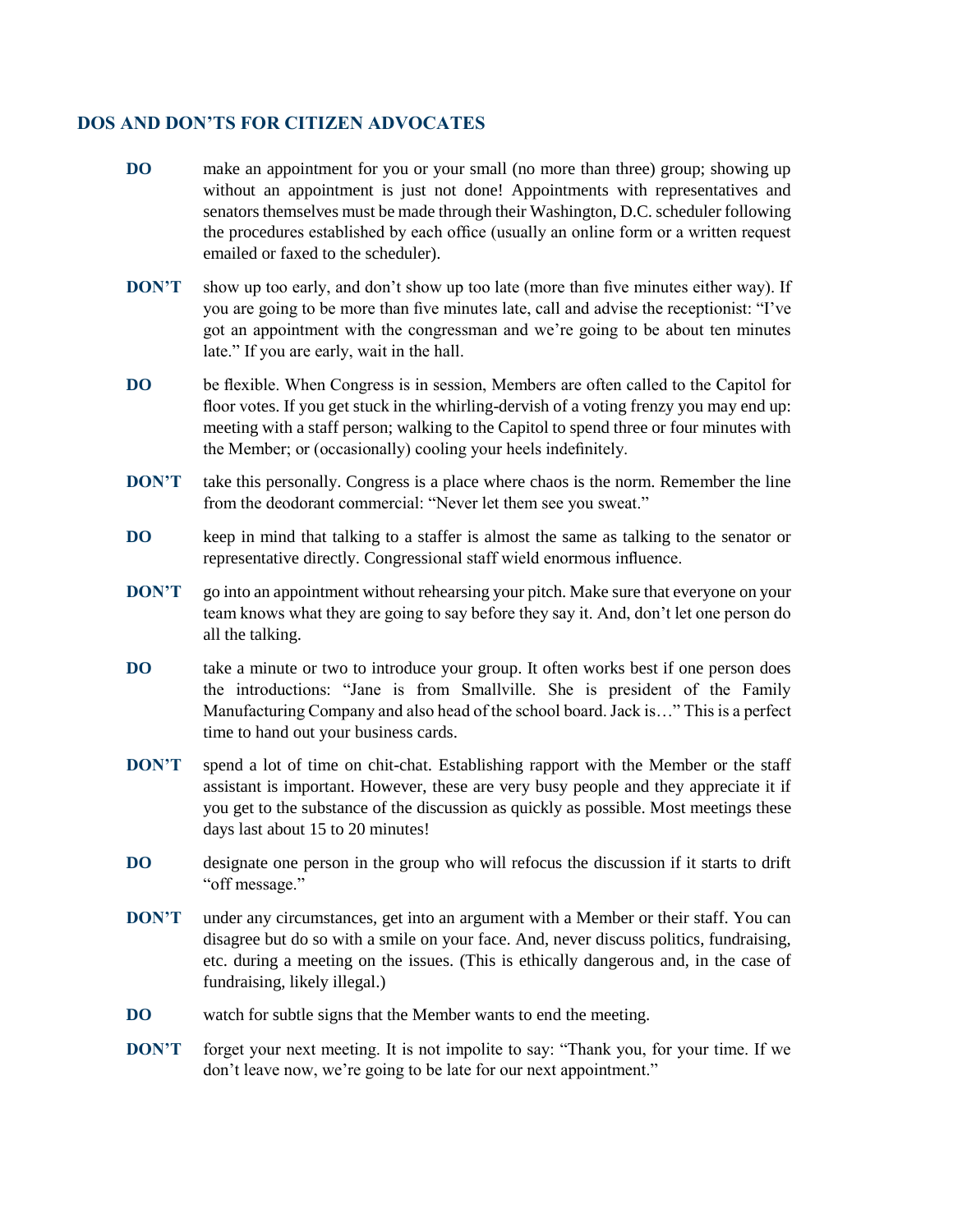## **DOS AND DON'TS FOR CITIZEN ADVOCATES**

- **DO** make an appointment for you or your small (no more than three) group; showing up without an appointment is just not done! Appointments with representatives and senators themselves must be made through their Washington, D.C. scheduler following the procedures established by each office (usually an online form or a written request emailed or faxed to the scheduler).
- **DON'T** show up too early, and don't show up too late (more than five minutes either way). If you are going to be more than five minutes late, call and advise the receptionist: "I've got an appointment with the congressman and we're going to be about ten minutes late." If you are early, wait in the hall.
- **DO** be flexible. When Congress is in session, Members are often called to the Capitol for floor votes. If you get stuck in the whirling-dervish of a voting frenzy you may end up: meeting with a staff person; walking to the Capitol to spend three or four minutes with the Member; or (occasionally) cooling your heels indefinitely.
- **DON'T** take this personally. Congress is a place where chaos is the norm. Remember the line from the deodorant commercial: "Never let them see you sweat."
- **DO** keep in mind that talking to a staffer is almost the same as talking to the senator or representative directly. Congressional staff wield enormous influence.
- **DON'T** go into an appointment without rehearsing your pitch. Make sure that everyone on your team knows what they are going to say before they say it. And, don't let one person do all the talking.
- **DO** take a minute or two to introduce your group. It often works best if one person does the introductions: "Jane is from Smallville. She is president of the Family Manufacturing Company and also head of the school board. Jack is…" This is a perfect time to hand out your business cards.
- **DON'T** spend a lot of time on chit-chat. Establishing rapport with the Member or the staff assistant is important. However, these are very busy people and they appreciate it if you get to the substance of the discussion as quickly as possible. Most meetings these days last about 15 to 20 minutes!
- **DO** designate one person in the group who will refocus the discussion if it starts to drift "off message."
- **DON'T** under any circumstances, get into an argument with a Member or their staff. You can disagree but do so with a smile on your face. And, never discuss politics, fundraising, etc. during a meeting on the issues. (This is ethically dangerous and, in the case of fundraising, likely illegal.)
- **DO** watch for subtle signs that the Member wants to end the meeting.
- **DON'T** forget your next meeting. It is not impolite to say: "Thank you, for your time. If we don't leave now, we're going to be late for our next appointment."